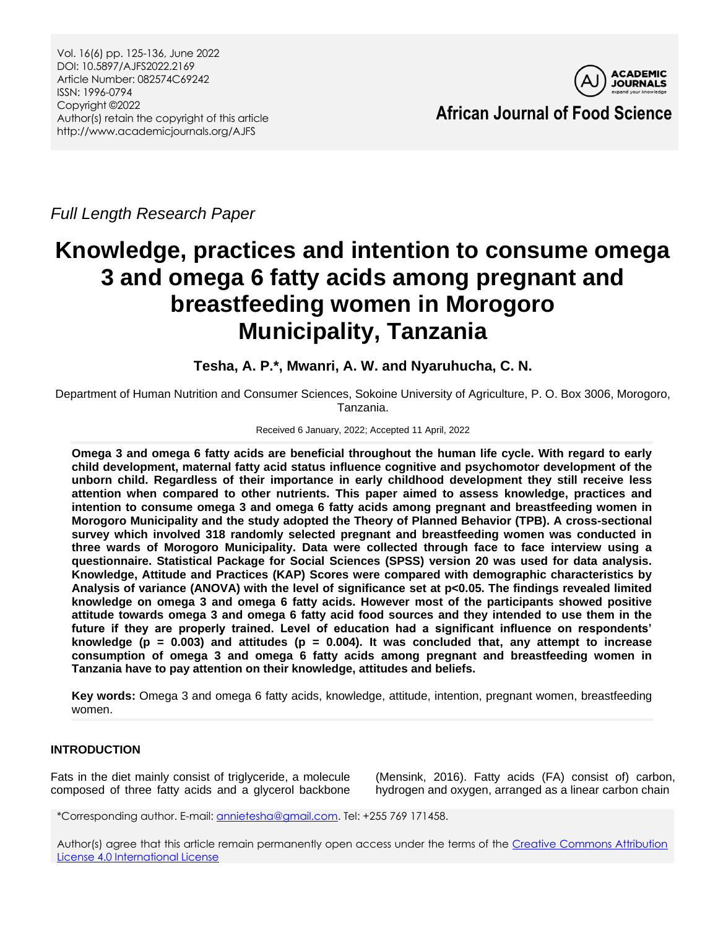

*Full Length Research Paper*

# **Knowledge, practices and intention to consume omega 3 and omega 6 fatty acids among pregnant and breastfeeding women in Morogoro Municipality, Tanzania**

**Tesha, A. P.\*, Mwanri, A. W. and Nyaruhucha, C. N.**

Department of Human Nutrition and Consumer Sciences, Sokoine University of Agriculture, P. O. Box 3006, Morogoro, Tanzania.

### Received 6 January, 2022; Accepted 11 April, 2022

**Omega 3 and omega 6 fatty acids are beneficial throughout the human life cycle. With regard to early child development, maternal fatty acid status influence cognitive and psychomotor development of the unborn child. Regardless of their importance in early childhood development they still receive less attention when compared to other nutrients. This paper aimed to assess knowledge, practices and intention to consume omega 3 and omega 6 fatty acids among pregnant and breastfeeding women in Morogoro Municipality and the study adopted the Theory of Planned Behavior (TPB). A cross-sectional survey which involved 318 randomly selected pregnant and breastfeeding women was conducted in three wards of Morogoro Municipality. Data were collected through face to face interview using a questionnaire. Statistical Package for Social Sciences (SPSS) version 20 was used for data analysis. Knowledge, Attitude and Practices (KAP) Scores were compared with demographic characteristics by Analysis of variance (ANOVA) with the level of significance set at p<0.05. The findings revealed limited knowledge on omega 3 and omega 6 fatty acids. However most of the participants showed positive attitude towards omega 3 and omega 6 fatty acid food sources and they intended to use them in the future if they are properly trained. Level of education had a significant influence on respondents' knowledge (p = 0.003) and attitudes (p = 0.004). It was concluded that, any attempt to increase consumption of omega 3 and omega 6 fatty acids among pregnant and breastfeeding women in Tanzania have to pay attention on their knowledge, attitudes and beliefs.**

**Key words:** Omega 3 and omega 6 fatty acids, knowledge, attitude, intention, pregnant women, breastfeeding women.

# **INTRODUCTION**

Fats in the diet mainly consist of triglyceride, a molecule composed of three fatty acids and a glycerol backbone

(Mensink, 2016). Fatty acids (FA) consist of) carbon, hydrogen and oxygen, arranged as a linear carbon chain

\*Corresponding author. E-mail[: annietesha@gmail.com.](mailto:annietesha@gmail.com) Tel: +255 769 171458.

Author(s) agree that this article remain permanently open access under the terms of the Creative Commons Attribution [License 4.0 International License](http://creativecommons.org/licenses/by/4.0/deed.en_US)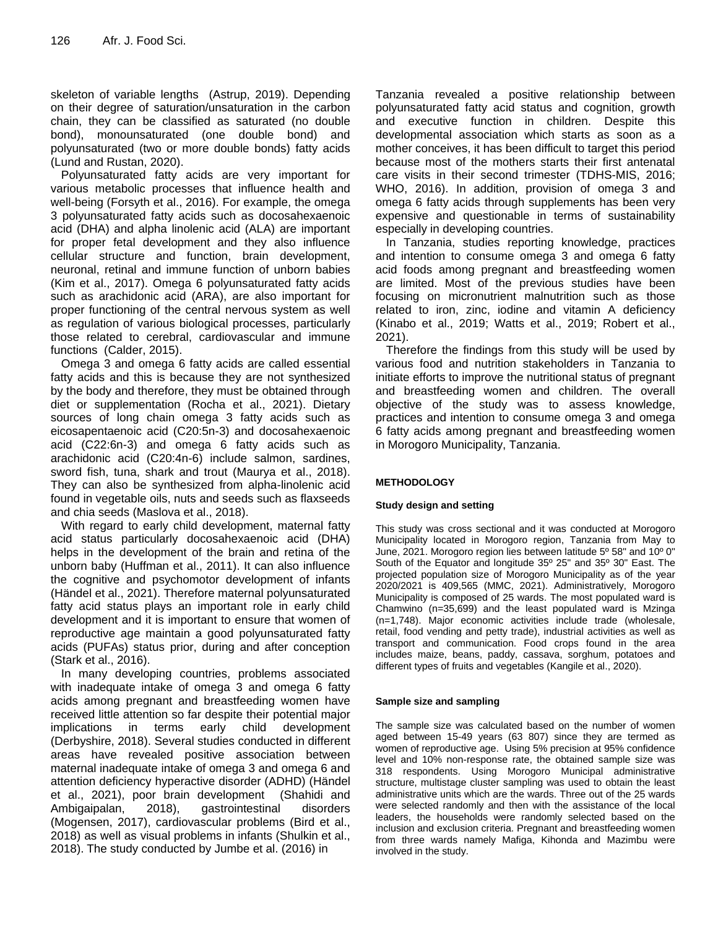skeleton of variable lengths (Astrup, 2019). Depending on their degree of saturation/unsaturation in the carbon chain, they can be classified as saturated (no double bond), monounsaturated (one double bond) and polyunsaturated (two or more double bonds) fatty acids (Lund and Rustan, 2020).

Polyunsaturated fatty acids are very important for various metabolic processes that influence health and well-being (Forsyth et al., 2016). For example, the omega 3 polyunsaturated fatty acids such as docosahexaenoic acid (DHA) and alpha linolenic acid (ALA) are important for proper fetal development and they also influence cellular structure and function, brain development, neuronal, retinal and immune function of unborn babies (Kim et al., 2017). Omega 6 polyunsaturated fatty acids such as arachidonic acid (ARA), are also important for proper functioning of the central nervous system as well as regulation of various biological processes, particularly those related to cerebral, cardiovascular and immune functions (Calder, 2015).

Omega 3 and omega 6 fatty acids are called essential fatty acids and this is because they are not synthesized by the body and therefore, they must be obtained through diet or supplementation (Rocha et al., 2021). Dietary sources of long chain omega 3 fatty acids such as eicosapentaenoic acid (C20:5n-3) and docosahexaenoic acid (C22:6n-3) and omega 6 fatty acids such as arachidonic acid (C20:4n-6) include salmon, sardines, sword fish, tuna, shark and trout (Maurya et al., 2018). They can also be synthesized from alpha-linolenic acid found in vegetable oils, nuts and seeds such as flaxseeds and chia seeds (Maslova et al., 2018).

With regard to early child development, maternal fatty acid status particularly docosahexaenoic acid (DHA) helps in the development of the brain and retina of the unborn baby (Huffman et al., 2011). It can also influence the cognitive and psychomotor development of infants (Händel et al., 2021). Therefore maternal polyunsaturated fatty acid status plays an important role in early child development and it is important to ensure that women of reproductive age maintain a good polyunsaturated fatty acids (PUFAs) status prior, during and after conception (Stark et al., 2016).

In many developing countries, problems associated with inadequate intake of omega 3 and omega 6 fatty acids among pregnant and breastfeeding women have received little attention so far despite their potential major implications in terms early child development (Derbyshire, 2018). Several studies conducted in different areas have revealed positive association between maternal inadequate intake of omega 3 and omega 6 and attention deficiency hyperactive disorder (ADHD) (Händel et al., 2021), poor brain development (Shahidi and Ambigaipalan, 2018), gastrointestinal disorders (Mogensen, 2017), cardiovascular problems (Bird et al., 2018) as well as visual problems in infants (Shulkin et al., 2018). The study conducted by Jumbe et al. (2016) in

Tanzania revealed a positive relationship between polyunsaturated fatty acid status and cognition, growth and executive function in children. Despite this developmental association which starts as soon as a mother conceives, it has been difficult to target this period because most of the mothers starts their first antenatal care visits in their second trimester (TDHS-MIS, 2016; WHO, 2016). In addition, provision of omega 3 and omega 6 fatty acids through supplements has been very expensive and questionable in terms of sustainability especially in developing countries.

In Tanzania, studies reporting knowledge, practices and intention to consume omega 3 and omega 6 fatty acid foods among pregnant and breastfeeding women are limited. Most of the previous studies have been focusing on micronutrient malnutrition such as those related to iron, zinc, iodine and vitamin A deficiency (Kinabo et al., 2019; Watts et al., 2019; Robert et al., 2021).

Therefore the findings from this study will be used by various food and nutrition stakeholders in Tanzania to initiate efforts to improve the nutritional status of pregnant and breastfeeding women and children. The overall objective of the study was to assess knowledge, practices and intention to consume omega 3 and omega 6 fatty acids among pregnant and breastfeeding women in Morogoro Municipality, Tanzania.

### **METHODOLOGY**

### **Study design and setting**

This study was cross sectional and it was conducted at Morogoro Municipality located in Morogoro region, Tanzania from May to June, 2021. Morogoro region lies between latitude 5º 58" and 10º 0" South of the Equator and longitude 35º 25" and 35º 30" East. The projected population size of Morogoro Municipality as of the year 2020/2021 is 409,565 (MMC, 2021). Administratively, Morogoro Municipality is composed of 25 wards. The most populated ward is Chamwino (n=35,699) and the least populated ward is Mzinga (n=1,748). Major economic activities include trade (wholesale, retail, food vending and petty trade), industrial activities as well as transport and communication. Food crops found in the area includes maize, beans, paddy, cassava, sorghum, potatoes and different types of fruits and vegetables (Kangile et al., 2020).

#### **Sample size and sampling**

The sample size was calculated based on the number of women aged between 15-49 years (63 807) since they are termed as women of reproductive age. Using 5% precision at 95% confidence level and 10% non-response rate, the obtained sample size was 318 respondents. Using Morogoro Municipal administrative structure, multistage cluster sampling was used to obtain the least administrative units which are the wards. Three out of the 25 wards were selected randomly and then with the assistance of the local leaders, the households were randomly selected based on the inclusion and exclusion criteria. Pregnant and breastfeeding women from three wards namely Mafiga, Kihonda and Mazimbu were involved in the study.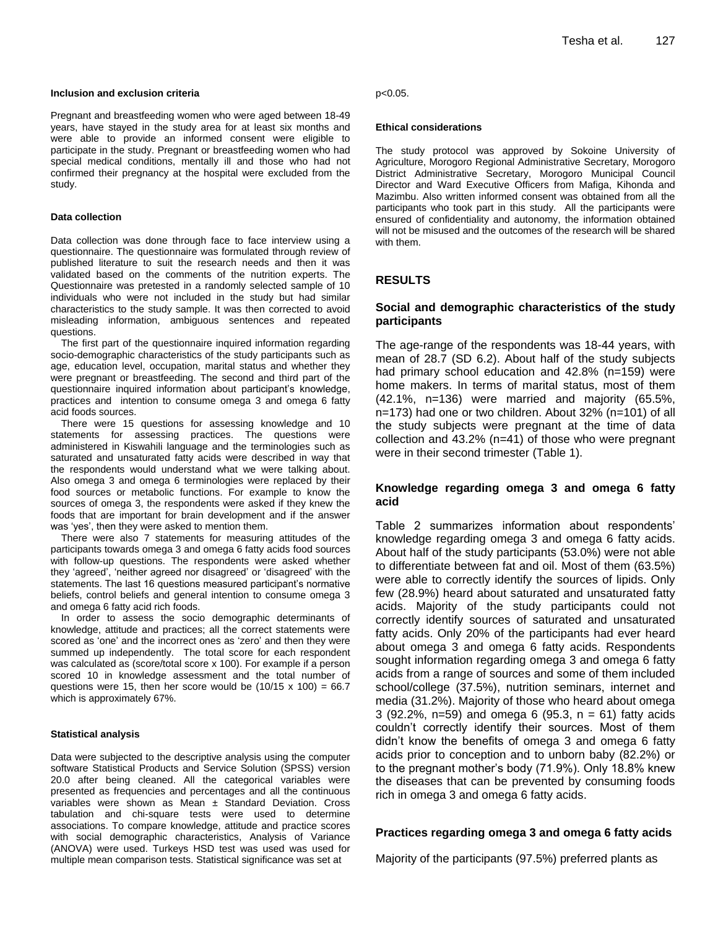Pregnant and breastfeeding women who were aged between 18-49 years, have stayed in the study area for at least six months and were able to provide an informed consent were eligible to participate in the study. Pregnant or breastfeeding women who had special medical conditions, mentally ill and those who had not confirmed their pregnancy at the hospital were excluded from the study.

#### **Data collection**

Data collection was done through face to face interview using a questionnaire. The questionnaire was formulated through review of published literature to suit the research needs and then it was validated based on the comments of the nutrition experts. The Questionnaire was pretested in a randomly selected sample of 10 individuals who were not included in the study but had similar characteristics to the study sample. It was then corrected to avoid misleading information, ambiguous sentences and repeated questions.

The first part of the questionnaire inquired information regarding socio-demographic characteristics of the study participants such as age, education level, occupation, marital status and whether they were pregnant or breastfeeding. The second and third part of the questionnaire inquired information about participant's knowledge, practices and intention to consume omega 3 and omega 6 fatty acid foods sources.

There were 15 questions for assessing knowledge and 10 statements for assessing practices. The questions were administered in Kiswahili language and the terminologies such as saturated and unsaturated fatty acids were described in way that the respondents would understand what we were talking about. Also omega 3 and omega 6 terminologies were replaced by their food sources or metabolic functions. For example to know the sources of omega 3, the respondents were asked if they knew the foods that are important for brain development and if the answer was 'yes', then they were asked to mention them.

There were also 7 statements for measuring attitudes of the participants towards omega 3 and omega 6 fatty acids food sources with follow-up questions. The respondents were asked whether they 'agreed', 'neither agreed nor disagreed' or 'disagreed' with the statements. The last 16 questions measured participant's normative beliefs, control beliefs and general intention to consume omega 3 and omega 6 fatty acid rich foods.

In order to assess the socio demographic determinants of knowledge, attitude and practices; all the correct statements were scored as 'one' and the incorrect ones as 'zero' and then they were summed up independently. The total score for each respondent was calculated as (score/total score x 100). For example if a person scored 10 in knowledge assessment and the total number of questions were 15, then her score would be  $(10/15 \times 100) = 66.7$ which is approximately 67%.

#### **Statistical analysis**

Data were subjected to the descriptive analysis using the computer software Statistical Products and Service Solution (SPSS) version 20.0 after being cleaned. All the categorical variables were presented as frequencies and percentages and all the continuous variables were shown as Mean  $\pm$  Standard Deviation. Cross tabulation and chi-square tests were used to determine associations. To compare knowledge, attitude and practice scores with social demographic characteristics, Analysis of Variance (ANOVA) were used. Turkeys HSD test was used was used for multiple mean comparison tests. Statistical significance was set at

p<0.05.

#### **Ethical considerations**

The study protocol was approved by Sokoine University of Agriculture, Morogoro Regional Administrative Secretary, Morogoro District Administrative Secretary, Morogoro Municipal Council Director and Ward Executive Officers from Mafiga, Kihonda and Mazimbu. Also written informed consent was obtained from all the participants who took part in this study. All the participants were ensured of confidentiality and autonomy, the information obtained will not be misused and the outcomes of the research will be shared with them.

#### **RESULTS**

## **Social and demographic characteristics of the study participants**

The age-range of the respondents was 18-44 years, with mean of 28.7 (SD 6.2). About half of the study subjects had primary school education and 42.8% (n=159) were home makers. In terms of marital status, most of them (42.1%, n=136) were married and majority (65.5%, n=173) had one or two children. About 32% (n=101) of all the study subjects were pregnant at the time of data collection and 43.2% (n=41) of those who were pregnant were in their second trimester (Table 1).

### **Knowledge regarding omega 3 and omega 6 fatty acid**

Table 2 summarizes information about respondents' knowledge regarding omega 3 and omega 6 fatty acids. About half of the study participants (53.0%) were not able to differentiate between fat and oil. Most of them (63.5%) were able to correctly identify the sources of lipids. Only few (28.9%) heard about saturated and unsaturated fatty acids. Majority of the study participants could not correctly identify sources of saturated and unsaturated fatty acids. Only 20% of the participants had ever heard about omega 3 and omega 6 fatty acids. Respondents sought information regarding omega 3 and omega 6 fatty acids from a range of sources and some of them included school/college (37.5%), nutrition seminars, internet and media (31.2%). Majority of those who heard about omega 3 (92.2%, n=59) and omega 6 (95.3, n = 61) fatty acids couldn't correctly identify their sources. Most of them didn't know the benefits of omega 3 and omega 6 fatty acids prior to conception and to unborn baby (82.2%) or to the pregnant mother's body (71.9%). Only 18.8% knew the diseases that can be prevented by consuming foods rich in omega 3 and omega 6 fatty acids.

#### **Practices regarding omega 3 and omega 6 fatty acids**

Majority of the participants (97.5%) preferred plants as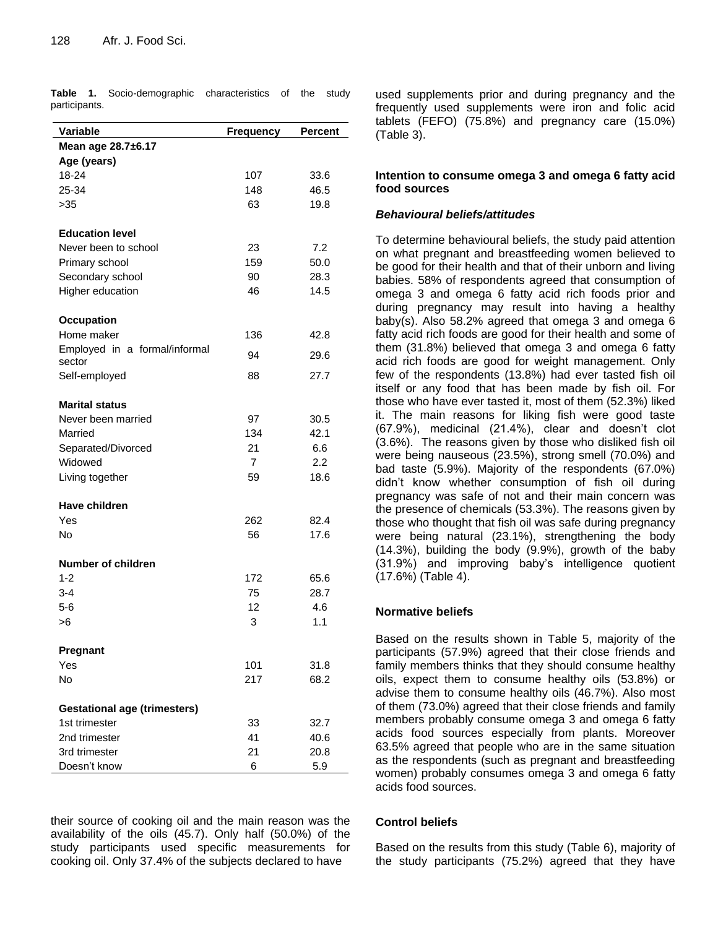| Variable                            | <b>Frequency</b> | Percent |
|-------------------------------------|------------------|---------|
| Mean age 28.7±6.17                  |                  |         |
| Age (years)                         |                  |         |
| 18-24                               | 107              | 33.6    |
| 25-34                               | 148              | 46.5    |
| >35                                 | 63               | 19.8    |
|                                     |                  |         |
| <b>Education level</b>              |                  |         |
| Never been to school                | 23               | 7.2     |
| Primary school                      | 159              | 50.0    |
| Secondary school                    | 90               | 28.3    |
| Higher education                    | 46               | 14.5    |
|                                     |                  |         |
| <b>Occupation</b>                   |                  |         |
| Home maker                          | 136              | 42.8    |
| Employed in a formal/informal       |                  |         |
| sector                              | 94               | 29.6    |
| Self-employed                       | 88               | 27.7    |
|                                     |                  |         |
| <b>Marital status</b>               |                  |         |
| Never been married                  | 97               | 30.5    |
| Married                             | 134              | 42.1    |
| Separated/Divorced                  | 21               | 6.6     |
| Widowed                             | $\overline{7}$   | 2.2     |
| Living together                     | 59               | 18.6    |
|                                     |                  |         |
| Have children                       |                  |         |
| Yes                                 | 262              | 82.4    |
| No                                  | 56               | 17.6    |
|                                     |                  |         |
| Number of children                  |                  |         |
| $1 - 2$                             | 172              | 65.6    |
| $3 - 4$                             | 75               | 28.7    |
| $5-6$                               | 12               | 4.6     |
| >6                                  | 3                | 1.1     |
|                                     |                  |         |
| Pregnant                            |                  |         |
| Yes                                 | 101              | 31.8    |
| No                                  | 217              | 68.2    |
|                                     |                  |         |
| <b>Gestational age (trimesters)</b> |                  |         |
| 1st trimester                       | 33               | 32.7    |
| 2nd trimester                       | 41               | 40.6    |
| 3rd trimester                       | 21               | 20.8    |
| Doesn't know                        | 6                | 5.9     |

**Table 1.** Socio-demographic characteristics of the study participants.

their source of cooking oil and the main reason was the availability of the oils (45.7). Only half (50.0%) of the study participants used specific measurements for cooking oil. Only 37.4% of the subjects declared to have

used supplements prior and during pregnancy and the frequently used supplements were iron and folic acid tablets (FEFO) (75.8%) and pregnancy care (15.0%) (Table 3).

## **Intention to consume omega 3 and omega 6 fatty acid food sources**

## *Behavioural beliefs/attitudes*

To determine behavioural beliefs, the study paid attention on what pregnant and breastfeeding women believed to be good for their health and that of their unborn and living babies. 58% of respondents agreed that consumption of omega 3 and omega 6 fatty acid rich foods prior and during pregnancy may result into having a healthy baby(s). Also 58.2% agreed that omega 3 and omega 6 fatty acid rich foods are good for their health and some of them (31.8%) believed that omega 3 and omega 6 fatty acid rich foods are good for weight management. Only few of the respondents (13.8%) had ever tasted fish oil itself or any food that has been made by fish oil. For those who have ever tasted it, most of them (52.3%) liked it. The main reasons for liking fish were good taste (67.9%), medicinal (21.4%), clear and doesn't clot (3.6%). The reasons given by those who disliked fish oil were being nauseous (23.5%), strong smell (70.0%) and bad taste (5.9%). Majority of the respondents (67.0%) didn't know whether consumption of fish oil during pregnancy was safe of not and their main concern was the presence of chemicals (53.3%). The reasons given by those who thought that fish oil was safe during pregnancy were being natural (23.1%), strengthening the body (14.3%), building the body (9.9%), growth of the baby (31.9%) and improving baby's intelligence quotient (17.6%) (Table 4).

# **Normative beliefs**

Based on the results shown in Table 5, majority of the participants (57.9%) agreed that their close friends and family members thinks that they should consume healthy oils, expect them to consume healthy oils (53.8%) or advise them to consume healthy oils (46.7%). Also most of them (73.0%) agreed that their close friends and family members probably consume omega 3 and omega 6 fatty acids food sources especially from plants. Moreover 63.5% agreed that people who are in the same situation as the respondents (such as pregnant and breastfeeding women) probably consumes omega 3 and omega 6 fatty acids food sources.

### **Control beliefs**

Based on the results from this study (Table 6), majority of the study participants (75.2%) agreed that they have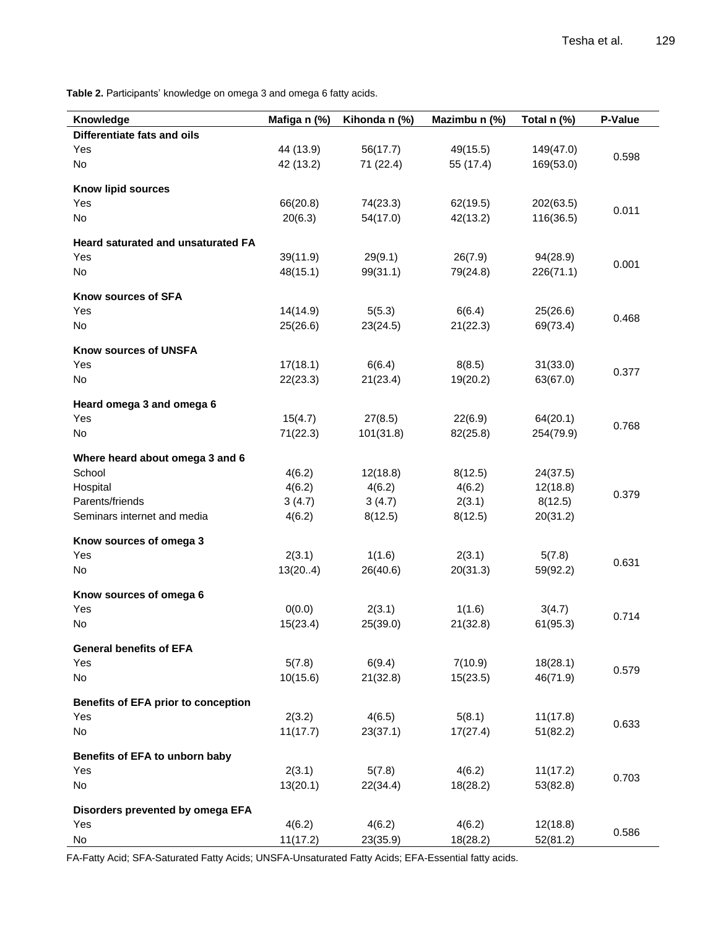Table 2. Participants' knowledge on omega 3 and omega 6 fatty acids.

| Knowledge                                  | Mafiga n (%) | Kihonda n (%) | Mazimbu n (%) | Total n (%) | P-Value |
|--------------------------------------------|--------------|---------------|---------------|-------------|---------|
| Differentiate fats and oils                |              |               |               |             |         |
| Yes                                        | 44 (13.9)    | 56(17.7)      | 49(15.5)      | 149(47.0)   |         |
| No                                         | 42 (13.2)    | 71 (22.4)     | 55 (17.4)     | 169(53.0)   | 0.598   |
|                                            |              |               |               |             |         |
| Know lipid sources                         |              |               |               |             |         |
| Yes                                        | 66(20.8)     | 74(23.3)      | 62(19.5)      | 202(63.5)   | 0.011   |
| No                                         | 20(6.3)      | 54(17.0)      | 42(13.2)      | 116(36.5)   |         |
| Heard saturated and unsaturated FA         |              |               |               |             |         |
| Yes                                        | 39(11.9)     | 29(9.1)       | 26(7.9)       | 94(28.9)    |         |
| No                                         | 48(15.1)     | 99(31.1)      | 79(24.8)      | 226(71.1)   | 0.001   |
|                                            |              |               |               |             |         |
| Know sources of SFA                        |              |               |               |             |         |
| Yes                                        | 14(14.9)     | 5(5.3)        | 6(6.4)        | 25(26.6)    | 0.468   |
| No                                         | 25(26.6)     | 23(24.5)      | 21(22.3)      | 69(73.4)    |         |
| Know sources of UNSFA                      |              |               |               |             |         |
| Yes                                        | 17(18.1)     | 6(6.4)        | 8(8.5)        | 31(33.0)    |         |
| No                                         | 22(23.3)     | 21(23.4)      | 19(20.2)      | 63(67.0)    | 0.377   |
|                                            |              |               |               |             |         |
| Heard omega 3 and omega 6<br>Yes           | 15(4.7)      | 27(8.5)       | 22(6.9)       | 64(20.1)    |         |
| No                                         | 71(22.3)     | 101(31.8)     | 82(25.8)      | 254(79.9)   | 0.768   |
|                                            |              |               |               |             |         |
| Where heard about omega 3 and 6            |              |               |               |             |         |
| School                                     | 4(6.2)       | 12(18.8)      | 8(12.5)       | 24(37.5)    |         |
| Hospital                                   | 4(6.2)       | 4(6.2)        | 4(6.2)        | 12(18.8)    | 0.379   |
| Parents/friends                            | 3(4.7)       | 3(4.7)        | 2(3.1)        | 8(12.5)     |         |
| Seminars internet and media                | 4(6.2)       | 8(12.5)       | 8(12.5)       | 20(31.2)    |         |
| Know sources of omega 3                    |              |               |               |             |         |
| Yes                                        | 2(3.1)       | 1(1.6)        | 2(3.1)        | 5(7.8)      |         |
| No                                         | 13(204)      | 26(40.6)      | 20(31.3)      | 59(92.2)    | 0.631   |
|                                            |              |               |               |             |         |
| Know sources of omega 6                    |              |               |               |             |         |
| Yes                                        | 0(0.0)       | 2(3.1)        | 1(1.6)        | 3(4.7)      | 0.714   |
| No                                         | 15(23.4)     | 25(39.0)      | 21(32.8)      | 61(95.3)    |         |
| <b>General benefits of EFA</b>             |              |               |               |             |         |
| Yes                                        | 5(7.8)       | 6(9.4)        | 7(10.9)       | 18(28.1)    |         |
| No                                         | 10(15.6)     | 21(32.8)      | 15(23.5)      | 46(71.9)    | 0.579   |
| <b>Benefits of EFA prior to conception</b> |              |               |               |             |         |
| Yes                                        | 2(3.2)       | 4(6.5)        | 5(8.1)        | 11(17.8)    |         |
| No                                         | 11(17.7)     | 23(37.1)      | 17(27.4)      | 51(82.2)    | 0.633   |
|                                            |              |               |               |             |         |
| Benefits of EFA to unborn baby             |              |               |               |             |         |
| Yes                                        | 2(3.1)       | 5(7.8)        | 4(6.2)        | 11(17.2)    | 0.703   |
| No                                         | 13(20.1)     | 22(34.4)      | 18(28.2)      | 53(82.8)    |         |
| Disorders prevented by omega EFA           |              |               |               |             |         |
| Yes                                        | 4(6.2)       | 4(6.2)        | 4(6.2)        | 12(18.8)    |         |
| No                                         | 11(17.2)     | 23(35.9)      | 18(28.2)      | 52(81.2)    | 0.586   |

FA-Fatty Acid; SFA-Saturated Fatty Acids; UNSFA-Unsaturated Fatty Acids; EFA-Essential fatty acids.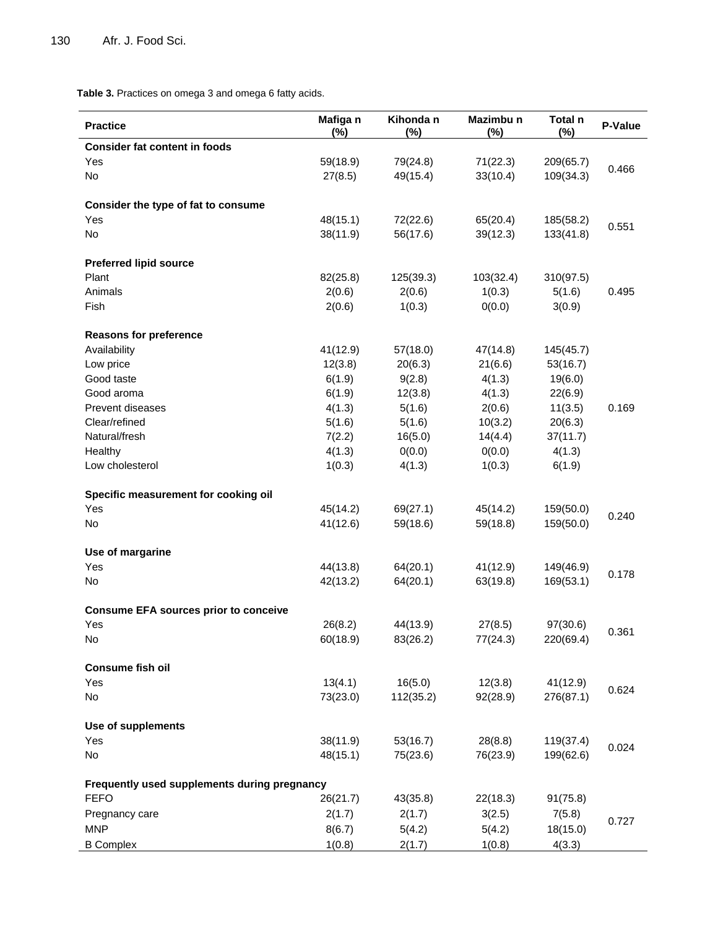**Table 3.** Practices on omega 3 and omega 6 fatty acids.

| <b>Practice</b>                              | Mafiga n<br>$(\%)$ | Kihonda n<br>$(\%)$ | Mazimbu n<br>$(\%)$ | Total n<br>$(\%)$ | P-Value |
|----------------------------------------------|--------------------|---------------------|---------------------|-------------------|---------|
| <b>Consider fat content in foods</b>         |                    |                     |                     |                   |         |
| Yes                                          | 59(18.9)           | 79(24.8)            | 71(22.3)            | 209(65.7)         | 0.466   |
| No                                           | 27(8.5)            | 49(15.4)            | 33(10.4)            | 109(34.3)         |         |
| Consider the type of fat to consume          |                    |                     |                     |                   |         |
| Yes                                          | 48(15.1)           | 72(22.6)            | 65(20.4)            | 185(58.2)         |         |
| No                                           | 38(11.9)           | 56(17.6)            | 39(12.3)            | 133(41.8)         | 0.551   |
|                                              |                    |                     |                     |                   |         |
| <b>Preferred lipid source</b>                |                    |                     |                     |                   |         |
| Plant                                        | 82(25.8)           | 125(39.3)           | 103(32.4)           | 310(97.5)         |         |
| Animals                                      | 2(0.6)             | 2(0.6)              | 1(0.3)              | 5(1.6)            | 0.495   |
| Fish                                         | 2(0.6)             | 1(0.3)              | 0(0.0)              | 3(0.9)            |         |
| <b>Reasons for preference</b>                |                    |                     |                     |                   |         |
| Availability                                 | 41(12.9)           | 57(18.0)            | 47(14.8)            | 145(45.7)         |         |
| Low price                                    | 12(3.8)            | 20(6.3)             | 21(6.6)             | 53(16.7)          |         |
| Good taste                                   | 6(1.9)             | 9(2.8)              | 4(1.3)              | 19(6.0)           |         |
| Good aroma                                   | 6(1.9)             | 12(3.8)             | 4(1.3)              | 22(6.9)           |         |
| <b>Prevent diseases</b>                      | 4(1.3)             | 5(1.6)              | 2(0.6)              | 11(3.5)           | 0.169   |
| Clear/refined                                | 5(1.6)             | 5(1.6)              | 10(3.2)             | 20(6.3)           |         |
| Natural/fresh                                | 7(2.2)             | 16(5.0)             | 14(4.4)             | 37(11.7)          |         |
| Healthy                                      | 4(1.3)             | 0(0.0)              | 0(0.0)              | 4(1.3)            |         |
| Low cholesterol                              | 1(0.3)             | 4(1.3)              | 1(0.3)              | 6(1.9)            |         |
|                                              |                    |                     |                     |                   |         |
| Specific measurement for cooking oil         |                    |                     |                     |                   |         |
| Yes                                          | 45(14.2)           | 69(27.1)            | 45(14.2)            | 159(50.0)         | 0.240   |
| No                                           | 41(12.6)           | 59(18.6)            | 59(18.8)            | 159(50.0)         |         |
| Use of margarine                             |                    |                     |                     |                   |         |
| Yes                                          | 44(13.8)           | 64(20.1)            | 41(12.9)            | 149(46.9)         |         |
| No                                           | 42(13.2)           | 64(20.1)            | 63(19.8)            | 169(53.1)         | 0.178   |
|                                              |                    |                     |                     |                   |         |
| <b>Consume EFA sources prior to conceive</b> |                    |                     |                     |                   |         |
| Yes                                          | 26(8.2)            | 44(13.9)            | 27(8.5)             | 97(30.6)          | 0.361   |
| No                                           | 60(18.9)           | 83(26.2)            | 77(24.3)            | 220(69.4)         |         |
| <b>Consume fish oil</b>                      |                    |                     |                     |                   |         |
| Yes                                          | 13(4.1)            | 16(5.0)             | 12(3.8)             | 41(12.9)          |         |
| No                                           | 73(23.0)           | 112(35.2)           | 92(28.9)            | 276(87.1)         | 0.624   |
| Use of supplements                           |                    |                     |                     |                   |         |
|                                              |                    |                     |                     |                   |         |
| Yes                                          | 38(11.9)           | 53(16.7)            | 28(8.8)             | 119(37.4)         | 0.024   |
| No                                           | 48(15.1)           | 75(23.6)            | 76(23.9)            | 199(62.6)         |         |
| Frequently used supplements during pregnancy |                    |                     |                     |                   |         |
| <b>FEFO</b>                                  | 26(21.7)           | 43(35.8)            | 22(18.3)            | 91(75.8)          |         |
| Pregnancy care                               | 2(1.7)             | 2(1.7)              | 3(2.5)              | 7(5.8)            |         |
| <b>MNP</b>                                   | 8(6.7)             | 5(4.2)              | 5(4.2)              | 18(15.0)          | 0.727   |
| <b>B</b> Complex                             | 1(0.8)             | 2(1.7)              | 1(0.8)              | 4(3.3)            |         |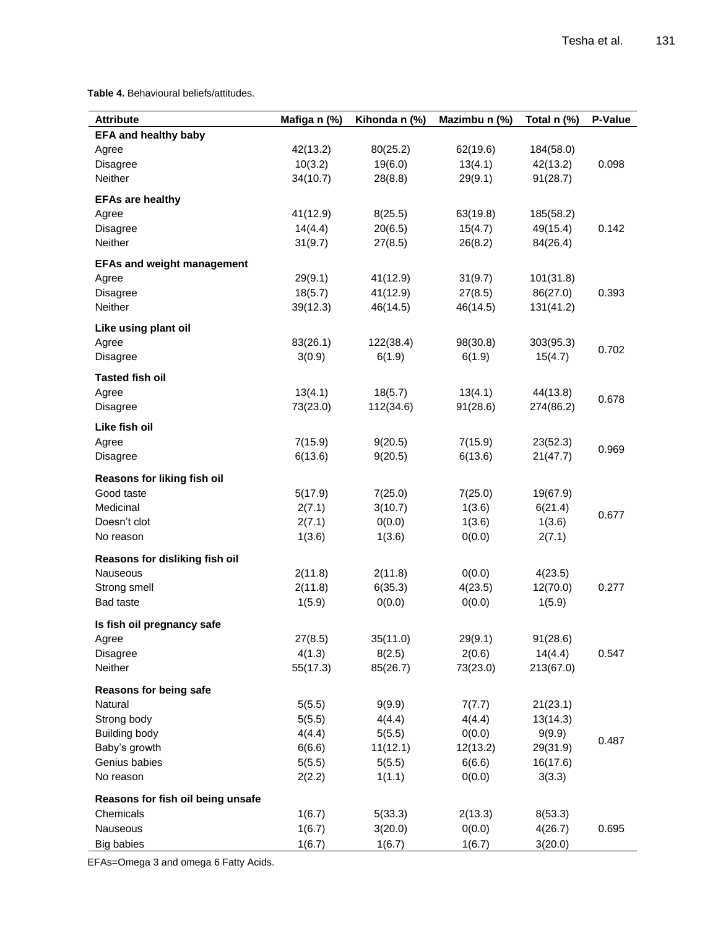**Table 4.** Behavioural beliefs/attitudes.

| <b>Attribute</b>                  | Mafiga n (%) | Kihonda n (%) | Mazimbu n (%) | Total n (%) | P-Value |
|-----------------------------------|--------------|---------------|---------------|-------------|---------|
| <b>EFA and healthy baby</b>       |              |               |               |             |         |
| Agree                             | 42(13.2)     | 80(25.2)      | 62(19.6)      | 184(58.0)   |         |
| Disagree                          | 10(3.2)      | 19(6.0)       | 13(4.1)       | 42(13.2)    | 0.098   |
| Neither                           | 34(10.7)     | 28(8.8)       | 29(9.1)       | 91(28.7)    |         |
| <b>EFAs are healthy</b>           |              |               |               |             |         |
| Agree                             | 41(12.9)     | 8(25.5)       | 63(19.8)      | 185(58.2)   |         |
| Disagree                          | 14(4.4)      | 20(6.5)       | 15(4.7)       | 49(15.4)    | 0.142   |
| Neither                           | 31(9.7)      | 27(8.5)       | 26(8.2)       | 84(26.4)    |         |
| <b>EFAs and weight management</b> |              |               |               |             |         |
| Agree                             | 29(9.1)      | 41(12.9)      | 31(9.7)       | 101(31.8)   |         |
| Disagree                          | 18(5.7)      | 41(12.9)      | 27(8.5)       | 86(27.0)    | 0.393   |
| Neither                           | 39(12.3)     | 46(14.5)      | 46(14.5)      | 131(41.2)   |         |
|                                   |              |               |               |             |         |
| Like using plant oil<br>Agree     | 83(26.1)     | 122(38.4)     | 98(30.8)      | 303(95.3)   |         |
| Disagree                          | 3(0.9)       | 6(1.9)        | 6(1.9)        | 15(4.7)     | 0.702   |
|                                   |              |               |               |             |         |
| <b>Tasted fish oil</b>            |              |               |               |             |         |
| Agree                             | 13(4.1)      | 18(5.7)       | 13(4.1)       | 44(13.8)    | 0.678   |
| <b>Disagree</b>                   | 73(23.0)     | 112(34.6)     | 91(28.6)      | 274(86.2)   |         |
| Like fish oil                     |              |               |               |             |         |
| Agree                             | 7(15.9)      | 9(20.5)       | 7(15.9)       | 23(52.3)    | 0.969   |
| Disagree                          | 6(13.6)      | 9(20.5)       | 6(13.6)       | 21(47.7)    |         |
| Reasons for liking fish oil       |              |               |               |             |         |
| Good taste                        | 5(17.9)      | 7(25.0)       | 7(25.0)       | 19(67.9)    |         |
| Medicinal                         | 2(7.1)       | 3(10.7)       | 1(3.6)        | 6(21.4)     | 0.677   |
| Doesn't clot                      | 2(7.1)       | 0(0.0)        | 1(3.6)        | 1(3.6)      |         |
| No reason                         | 1(3.6)       | 1(3.6)        | 0(0.0)        | 2(7.1)      |         |
| Reasons for disliking fish oil    |              |               |               |             |         |
| Nauseous                          | 2(11.8)      | 2(11.8)       | 0(0.0)        | 4(23.5)     |         |
| Strong smell                      | 2(11.8)      | 6(35.3)       | 4(23.5)       | 12(70.0)    | 0.277   |
| <b>Bad taste</b>                  | 1(5.9)       | 0(0.0)        | 0(0.0)        | 1(5.9)      |         |
| Is fish oil pregnancy safe        |              |               |               |             |         |
| Agree                             | 27(8.5)      | 35(11.0)      | 29(9.1)       | 91(28.6)    |         |
| Disagree                          | 4(1.3)       | 8(2.5)        | 2(0.6)        | 14(4.4)     | 0.547   |
| Neither                           | 55(17.3)     | 85(26.7)      | 73(23.0)      | 213(67.0)   |         |
| Reasons for being safe            |              |               |               |             |         |
| Natural                           | 5(5.5)       | 9(9.9)        | 7(7.7)        | 21(23.1)    |         |
| Strong body                       | 5(5.5)       | 4(4.4)        | 4(4.4)        | 13(14.3)    |         |
| <b>Building body</b>              | 4(4.4)       | 5(5.5)        | 0(0.0)        | 9(9.9)      |         |
| Baby's growth                     | 6(6.6)       | 11(12.1)      | 12(13.2)      | 29(31.9)    | 0.487   |
| Genius babies                     | 5(5.5)       | 5(5.5)        | 6(6.6)        | 16(17.6)    |         |
| No reason                         | 2(2.2)       | 1(1.1)        | 0(0.0)        | 3(3.3)      |         |
| Reasons for fish oil being unsafe |              |               |               |             |         |
| Chemicals                         | 1(6.7)       | 5(33.3)       | 2(13.3)       | 8(53.3)     |         |
| Nauseous                          | 1(6.7)       | 3(20.0)       | 0(0.0)        | 4(26.7)     | 0.695   |
| <b>Big babies</b>                 | 1(6.7)       | 1(6.7)        | 1(6.7)        | 3(20.0)     |         |

EFAs=Omega 3 and omega 6 Fatty Acids.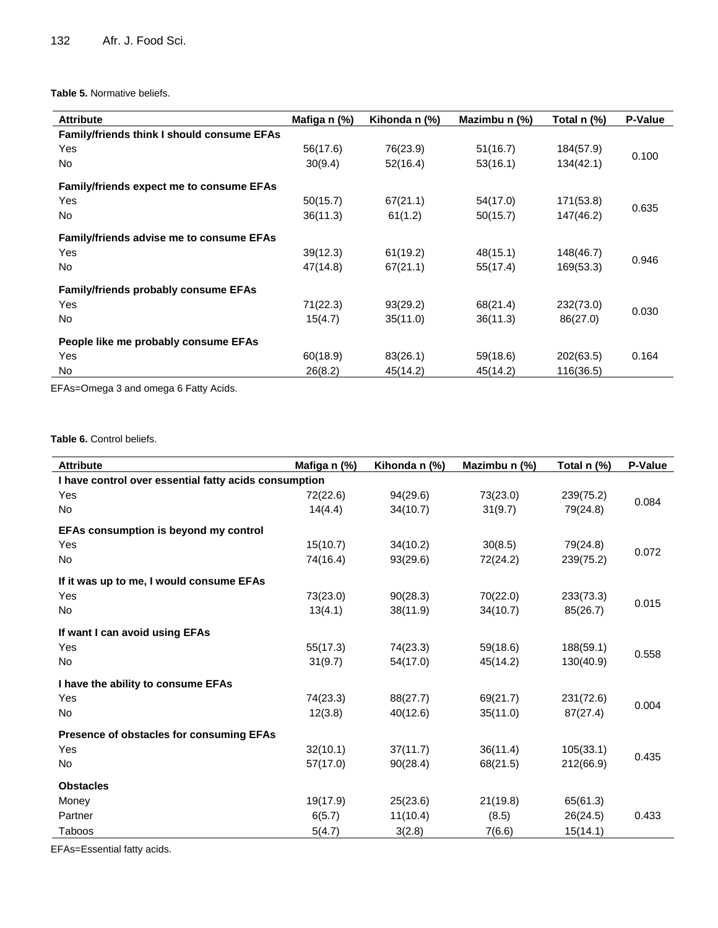### **Table 5.** Normative beliefs.

| <b>Attribute</b>                                  | Mafiga n (%) | Kihonda n (%) | Mazimbu n (%) | Total n (%) | P-Value |
|---------------------------------------------------|--------------|---------------|---------------|-------------|---------|
| <b>Family/friends think I should consume EFAs</b> |              |               |               |             |         |
| Yes                                               | 56(17.6)     | 76(23.9)      | 51(16.7)      | 184(57.9)   | 0.100   |
| No                                                | 30(9.4)      | 52(16.4)      | 53(16.1)      | 134(42.1)   |         |
| <b>Family/friends expect me to consume EFAs</b>   |              |               |               |             |         |
| Yes                                               | 50(15.7)     | 67(21.1)      | 54(17.0)      | 171(53.8)   | 0.635   |
| No                                                | 36(11.3)     | 61(1.2)       | 50(15.7)      | 147(46.2)   |         |
| <b>Family/friends advise me to consume EFAs</b>   |              |               |               |             |         |
| Yes                                               | 39(12.3)     | 61(19.2)      | 48(15.1)      | 148(46.7)   | 0.946   |
| No                                                | 47(14.8)     | 67(21.1)      | 55(17.4)      | 169(53.3)   |         |
| <b>Family/friends probably consume EFAs</b>       |              |               |               |             |         |
| Yes                                               | 71(22.3)     | 93(29.2)      | 68(21.4)      | 232(73.0)   |         |
| No.                                               | 15(4.7)      | 35(11.0)      | 36(11.3)      | 86(27.0)    | 0.030   |
| People like me probably consume EFAs              |              |               |               |             |         |
| Yes                                               | 60(18.9)     | 83(26.1)      | 59(18.6)      | 202(63.5)   | 0.164   |
| No.                                               | 26(8.2)      | 45(14.2)      | 45(14.2)      | 116(36.5)   |         |

EFAs=Omega 3 and omega 6 Fatty Acids.

# Table 6. Control beliefs.

| <b>Attribute</b>                                      | Mafiga n (%) | Kihonda n (%) | Mazimbu n (%) | Total n (%) | P-Value |  |  |
|-------------------------------------------------------|--------------|---------------|---------------|-------------|---------|--|--|
| I have control over essential fatty acids consumption |              |               |               |             |         |  |  |
| Yes                                                   | 72(22.6)     | 94(29.6)      | 73(23.0)      | 239(75.2)   |         |  |  |
| <b>No</b>                                             | 14(4.4)      | 34(10.7)      | 31(9.7)       | 79(24.8)    | 0.084   |  |  |
| EFAs consumption is beyond my control                 |              |               |               |             |         |  |  |
| Yes                                                   | 15(10.7)     | 34(10.2)      | 30(8.5)       | 79(24.8)    | 0.072   |  |  |
| No                                                    | 74(16.4)     | 93(29.6)      | 72(24.2)      | 239(75.2)   |         |  |  |
| If it was up to me, I would consume EFAs              |              |               |               |             |         |  |  |
| Yes                                                   | 73(23.0)     | 90(28.3)      | 70(22.0)      | 233(73.3)   |         |  |  |
| <b>No</b>                                             | 13(4.1)      | 38(11.9)      | 34(10.7)      | 85(26.7)    | 0.015   |  |  |
| If want I can avoid using EFAs                        |              |               |               |             |         |  |  |
| Yes                                                   | 55(17.3)     | 74(23.3)      | 59(18.6)      | 188(59.1)   |         |  |  |
| <b>No</b>                                             | 31(9.7)      | 54(17.0)      | 45(14.2)      | 130(40.9)   | 0.558   |  |  |
| I have the ability to consume EFAs                    |              |               |               |             |         |  |  |
| Yes                                                   | 74(23.3)     | 88(27.7)      | 69(21.7)      | 231(72.6)   |         |  |  |
| <b>No</b>                                             | 12(3.8)      | 40(12.6)      | 35(11.0)      | 87(27.4)    | 0.004   |  |  |
| Presence of obstacles for consuming EFAs              |              |               |               |             |         |  |  |
| Yes                                                   | 32(10.1)     | 37(11.7)      | 36(11.4)      | 105(33.1)   |         |  |  |
| <b>No</b>                                             | 57(17.0)     | 90(28.4)      | 68(21.5)      | 212(66.9)   | 0.435   |  |  |
| <b>Obstacles</b>                                      |              |               |               |             |         |  |  |
| Money                                                 | 19(17.9)     | 25(23.6)      | 21(19.8)      | 65(61.3)    |         |  |  |
| Partner                                               | 6(5.7)       | 11(10.4)      | (8.5)         | 26(24.5)    | 0.433   |  |  |
| Taboos                                                | 5(4.7)       | 3(2.8)        | 7(6.6)        | 15(14.1)    |         |  |  |

EFAs=Essential fatty acids.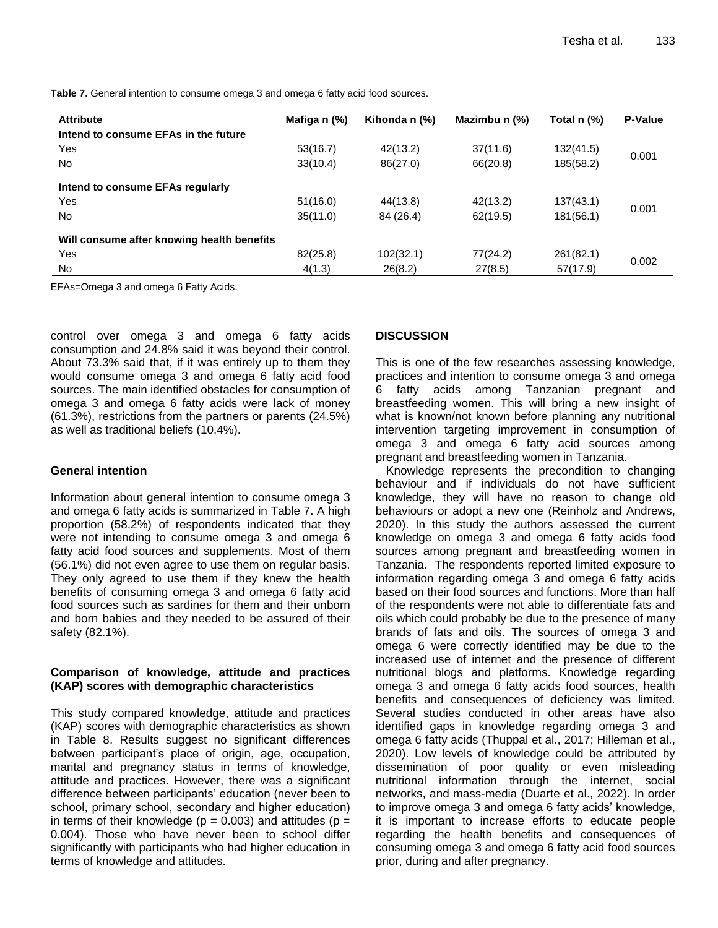**Table 7.** General intention to consume omega 3 and omega 6 fatty acid food sources.

| <b>Attribute</b>                           | Mafiga n (%) | Kihonda n (%) | Mazimbu n (%) | Total n (%) | <b>P-Value</b> |
|--------------------------------------------|--------------|---------------|---------------|-------------|----------------|
| Intend to consume EFAs in the future       |              |               |               |             |                |
| Yes                                        | 53(16.7)     | 42(13.2)      | 37(11.6)      | 132(41.5)   | 0.001          |
| <b>No</b>                                  | 33(10.4)     | 86(27.0)      | 66(20.8)      | 185(58.2)   |                |
| Intend to consume EFAs regularly           |              |               |               |             |                |
| Yes                                        | 51(16.0)     | 44(13.8)      | 42(13.2)      | 137(43.1)   |                |
| <b>No</b>                                  | 35(11.0)     | 84 (26.4)     | 62(19.5)      | 181(56.1)   | 0.001          |
| Will consume after knowing health benefits |              |               |               |             |                |
| Yes                                        | 82(25.8)     | 102(32.1)     | 77(24.2)      | 261(82.1)   |                |
| <b>No</b>                                  | 4(1.3)       | 26(8.2)       | 27(8.5)       | 57(17.9)    | 0.002          |

EFAs=Omega 3 and omega 6 Fatty Acids.

control over omega 3 and omega 6 fatty acids consumption and 24.8% said it was beyond their control. About 73.3% said that, if it was entirely up to them they would consume omega 3 and omega 6 fatty acid food sources. The main identified obstacles for consumption of omega 3 and omega 6 fatty acids were lack of money (61.3%), restrictions from the partners or parents (24.5%) as well as traditional beliefs (10.4%).

## **General intention**

Information about general intention to consume omega 3 and omega 6 fatty acids is summarized in Table 7. A high proportion (58.2%) of respondents indicated that they were not intending to consume omega 3 and omega 6 fatty acid food sources and supplements. Most of them (56.1%) did not even agree to use them on regular basis. They only agreed to use them if they knew the health benefits of consuming omega 3 and omega 6 fatty acid food sources such as sardines for them and their unborn and born babies and they needed to be assured of their safety (82.1%).

# **Comparison of knowledge, attitude and practices (KAP) scores with demographic characteristics**

This study compared knowledge, attitude and practices (KAP) scores with demographic characteristics as shown in Table 8. Results suggest no significant differences between participant's place of origin, age, occupation, marital and pregnancy status in terms of knowledge, attitude and practices. However, there was a significant difference between participants' education (never been to school, primary school, secondary and higher education) in terms of their knowledge ( $p = 0.003$ ) and attitudes ( $p =$ 0.004). Those who have never been to school differ significantly with participants who had higher education in terms of knowledge and attitudes.

# **DISCUSSION**

This is one of the few researches assessing knowledge, practices and intention to consume omega 3 and omega 6 fatty acids among Tanzanian pregnant and breastfeeding women. This will bring a new insight of what is known/not known before planning any nutritional intervention targeting improvement in consumption of omega 3 and omega 6 fatty acid sources among pregnant and breastfeeding women in Tanzania.

Knowledge represents the precondition to changing behaviour and if individuals do not have sufficient knowledge, they will have no reason to change old behaviours or adopt a new one (Reinholz and Andrews, 2020). In this study the authors assessed the current knowledge on omega 3 and omega 6 fatty acids food sources among pregnant and breastfeeding women in Tanzania. The respondents reported limited exposure to information regarding omega 3 and omega 6 fatty acids based on their food sources and functions. More than half of the respondents were not able to differentiate fats and oils which could probably be due to the presence of many brands of fats and oils. The sources of omega 3 and omega 6 were correctly identified may be due to the increased use of internet and the presence of different nutritional blogs and platforms. Knowledge regarding omega 3 and omega 6 fatty acids food sources, health benefits and consequences of deficiency was limited. Several studies conducted in other areas have also identified gaps in knowledge regarding omega 3 and omega 6 fatty acids (Thuppal et al., 2017; Hilleman et al., 2020). Low levels of knowledge could be attributed by dissemination of poor quality or even misleading nutritional information through the internet, social networks, and mass-media (Duarte et al., 2022). In order to improve omega 3 and omega 6 fatty acids' knowledge, it is important to increase efforts to educate people regarding the health benefits and consequences of consuming omega 3 and omega 6 fatty acid food sources prior, during and after pregnancy.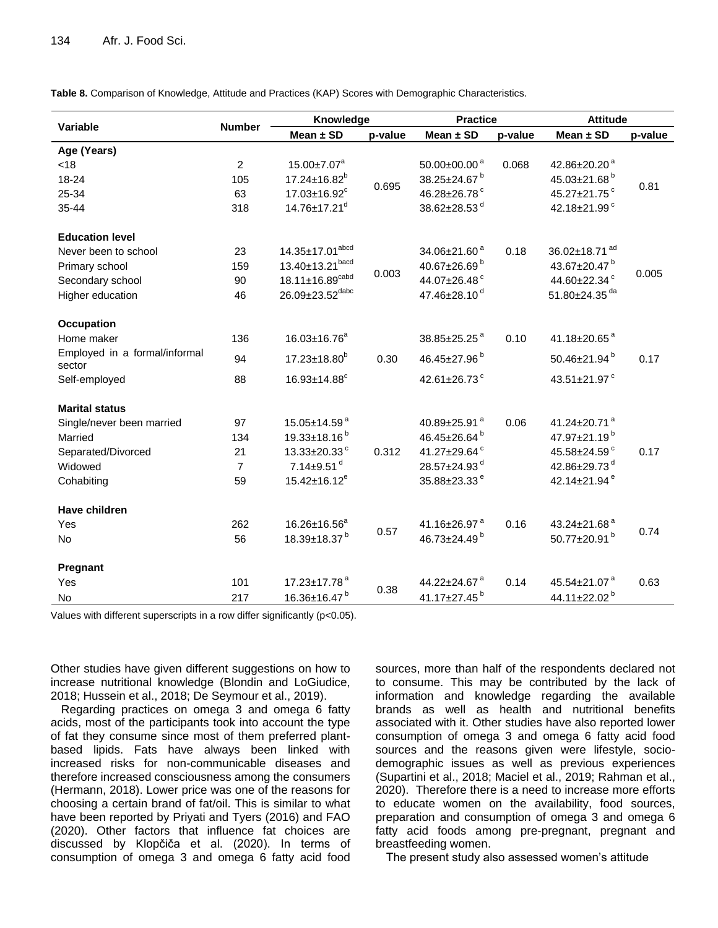**Table 8.** Comparison of Knowledge, Attitude and Practices (KAP) Scores with Demographic Characteristics.

|                                         |                | Knowledge                       |         | <b>Practice</b>                |         | <b>Attitude</b>           |         |
|-----------------------------------------|----------------|---------------------------------|---------|--------------------------------|---------|---------------------------|---------|
| <b>Variable</b>                         | <b>Number</b>  | Mean $\pm$ SD                   | p-value | Mean $\pm$ SD                  | p-value | Mean $\pm$ SD             | p-value |
| Age (Years)                             |                |                                 |         |                                |         |                           |         |
| < 18                                    | $\overline{c}$ | $15.00 \pm 7.07^a$              |         | $50.00 \pm 00.00$ <sup>a</sup> | 0.068   | 42.86±20.20 <sup>a</sup>  |         |
| 18-24                                   | 105            | 17.24±16.82 <sup>b</sup>        | 0.695   | 38.25±24.67 <sup>b</sup>       |         | 45.03±21.68 <sup>b</sup>  | 0.81    |
| 25-34                                   | 63             | 17.03±16.92 <sup>c</sup>        |         | 46.28±26.78 <sup>c</sup>       |         | 45.27±21.75 <sup>c</sup>  |         |
| 35-44                                   | 318            | 14.76±17.21 <sup>d</sup>        |         | 38.62±28.53 <sup>d</sup>       |         | 42.18±21.99 <sup>c</sup>  |         |
| <b>Education level</b>                  |                |                                 |         |                                |         |                           |         |
| Never been to school                    | 23             | 14.35±17.01 <sup>abcd</sup>     |         | 34.06±21.60 <sup>a</sup>       | 0.18    | 36.02±18.71 <sup>ad</sup> |         |
| Primary school                          | 159            | 13.40±13.21bacd                 |         | 40.67±26.69 <sup>b</sup>       |         | 43.67±20.47 <sup>b</sup>  |         |
| Secondary school                        | 90             | $18.11 \pm 16.89^{\text{cabd}}$ | 0.003   | 44.07±26.48 <sup>c</sup>       |         | 44.60±22.34 <sup>c</sup>  | 0.005   |
| Higher education                        | 46             | 26.09±23.52dabc                 |         | 47.46±28.10 <sup>d</sup>       |         | 51.80±24.35 <sup>da</sup> |         |
| <b>Occupation</b>                       |                |                                 |         |                                |         |                           |         |
| Home maker                              | 136            | 16.03±16.76 <sup>a</sup>        |         | 38.85±25.25 <sup>a</sup>       | 0.10    | 41.18±20.65 <sup>a</sup>  |         |
| Employed in a formal/informal<br>sector | 94             | $17.23 \pm 18.80$ <sup>b</sup>  | 0.30    | 46.45±27.96 <sup>b</sup>       |         | 50.46±21.94 <sup>b</sup>  | 0.17    |
| Self-employed                           | 88             | $16.93 \pm 14.88$ <sup>c</sup>  |         | 42.61±26.73 <sup>c</sup>       |         | 43.51±21.97 <sup>c</sup>  |         |
| <b>Marital status</b>                   |                |                                 |         |                                |         |                           |         |
| Single/never been married               | 97             | 15.05±14.59 <sup>a</sup>        |         | 40.89±25.91 <sup>a</sup>       | 0.06    | 41.24±20.71 <sup>a</sup>  |         |
| Married                                 | 134            | 19.33±18.16 <sup>b</sup>        |         | 46.45±26.64 <sup>b</sup>       |         | 47.97±21.19 <sup>b</sup>  |         |
| Separated/Divorced                      | 21             | 13.33±20.33 <sup>c</sup>        | 0.312   | 41.27±29.64 <sup>c</sup>       |         | 45.58±24.59 <sup>c</sup>  | 0.17    |
| Widowed                                 | $\overline{7}$ | $7.14 \pm 9.51$ <sup>d</sup>    |         | 28.57±24.93 <sup>d</sup>       |         | 42.86±29.73 <sup>d</sup>  |         |
| Cohabiting                              | 59             | $15.42 \pm 16.12^e$             |         | 35.88±23.33 <sup>e</sup>       |         | 42.14±21.94 <sup>e</sup>  |         |
| <b>Have children</b>                    |                |                                 |         |                                |         |                           |         |
| Yes                                     | 262            | 16.26±16.56 <sup>a</sup>        |         | 41.16±26.97 <sup>a</sup>       | 0.16    | 43.24±21.68 <sup>a</sup>  |         |
| <b>No</b>                               | 56             | 18.39±18.37 <sup>b</sup>        | 0.57    | 46.73±24.49 <sup>b</sup>       |         | 50.77±20.91 <sup>b</sup>  | 0.74    |
| Pregnant                                |                |                                 |         |                                |         |                           |         |
| Yes                                     | 101            | $17.23 \pm 17.78$ <sup>a</sup>  |         | 44.22±24.67 <sup>a</sup>       | 0.14    | 45.54±21.07 <sup>a</sup>  | 0.63    |
| No                                      | 217            | 16.36±16.47 <sup>b</sup>        | 0.38    | 41.17±27.45 <sup>b</sup>       |         | 44.11±22.02 <sup>b</sup>  |         |

Values with different superscripts in a row differ significantly (p<0.05).

Other studies have given different suggestions on how to increase nutritional knowledge (Blondin and LoGiudice, 2018; Hussein et al., 2018; De Seymour et al., 2019).

Regarding practices on omega 3 and omega 6 fatty acids, most of the participants took into account the type of fat they consume since most of them preferred plantbased lipids. Fats have always been linked with increased risks for non-communicable diseases and therefore increased consciousness among the consumers (Hermann, 2018). Lower price was one of the reasons for choosing a certain brand of fat/oil. This is similar to what have been reported by Priyati and Tyers (2016) and FAO (2020). Other factors that influence fat choices are discussed by Klopčiča et al. (2020). In terms of consumption of omega 3 and omega 6 fatty acid food

sources, more than half of the respondents declared not to consume. This may be contributed by the lack of information and knowledge regarding the available brands as well as health and nutritional benefits associated with it. Other studies have also reported lower consumption of omega 3 and omega 6 fatty acid food sources and the reasons given were lifestyle, sociodemographic issues as well as previous experiences (Supartini et al., 2018; Maciel et al., 2019; Rahman et al., 2020). Therefore there is a need to increase more efforts to educate women on the availability, food sources, preparation and consumption of omega 3 and omega 6 fatty acid foods among pre-pregnant, pregnant and breastfeeding women.

The present study also assessed women's attitude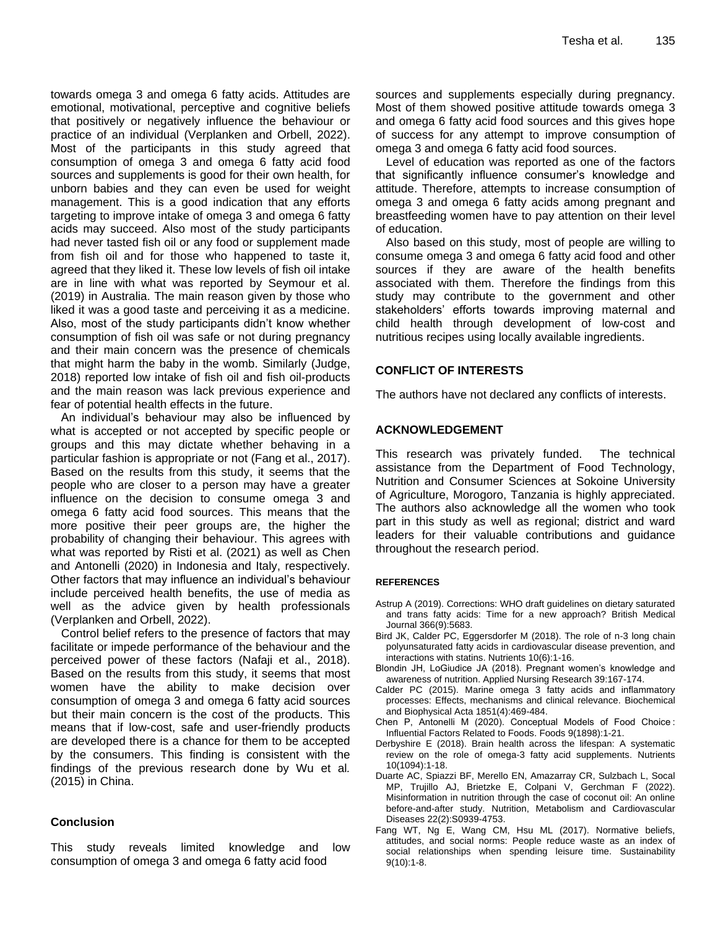towards omega 3 and omega 6 fatty acids. Attitudes are emotional, motivational, perceptive and cognitive beliefs that positively or negatively influence the behaviour or practice of an individual (Verplanken and Orbell, 2022). Most of the participants in this study agreed that consumption of omega 3 and omega 6 fatty acid food sources and supplements is good for their own health, for unborn babies and they can even be used for weight management. This is a good indication that any efforts targeting to improve intake of omega 3 and omega 6 fatty acids may succeed. Also most of the study participants had never tasted fish oil or any food or supplement made from fish oil and for those who happened to taste it, agreed that they liked it. These low levels of fish oil intake are in line with what was reported by Seymour et al. (2019) in Australia. The main reason given by those who liked it was a good taste and perceiving it as a medicine. Also, most of the study participants didn't know whether consumption of fish oil was safe or not during pregnancy and their main concern was the presence of chemicals that might harm the baby in the womb. Similarly (Judge, 2018) reported low intake of fish oil and fish oil-products and the main reason was lack previous experience and fear of potential health effects in the future.

An individual's behaviour may also be influenced by what is accepted or not accepted by specific people or groups and this may dictate whether behaving in a particular fashion is appropriate or not (Fang et al., 2017). Based on the results from this study, it seems that the people who are closer to a person may have a greater influence on the decision to consume omega 3 and omega 6 fatty acid food sources. This means that the more positive their peer groups are, the higher the probability of changing their behaviour. This agrees with what was reported by Risti et al. (2021) as well as Chen and Antonelli (2020) in Indonesia and Italy, respectively. Other factors that may influence an individual's behaviour include perceived health benefits, the use of media as well as the advice given by health professionals (Verplanken and Orbell, 2022).

Control belief refers to the presence of factors that may facilitate or impede performance of the behaviour and the perceived power of these factors (Nafaji et al., 2018). Based on the results from this study, it seems that most women have the ability to make decision over consumption of omega 3 and omega 6 fatty acid sources but their main concern is the cost of the products. This means that if low-cost, safe and user-friendly products are developed there is a chance for them to be accepted by the consumers. This finding is consistent with the findings of the previous research done by Wu et al*.* (2015) in China.

# **Conclusion**

This study reveals limited knowledge and low consumption of omega 3 and omega 6 fatty acid food

sources and supplements especially during pregnancy. Most of them showed positive attitude towards omega 3 and omega 6 fatty acid food sources and this gives hope of success for any attempt to improve consumption of omega 3 and omega 6 fatty acid food sources.

Level of education was reported as one of the factors that significantly influence consumer's knowledge and attitude. Therefore, attempts to increase consumption of omega 3 and omega 6 fatty acids among pregnant and breastfeeding women have to pay attention on their level of education.

Also based on this study, most of people are willing to consume omega 3 and omega 6 fatty acid food and other sources if they are aware of the health benefits associated with them. Therefore the findings from this study may contribute to the government and other stakeholders' efforts towards improving maternal and child health through development of low-cost and nutritious recipes using locally available ingredients.

# **CONFLICT OF INTERESTS**

The authors have not declared any conflicts of interests.

### **ACKNOWLEDGEMENT**

This research was privately funded. The technical assistance from the Department of Food Technology, Nutrition and Consumer Sciences at Sokoine University of Agriculture, Morogoro, Tanzania is highly appreciated. The authors also acknowledge all the women who took part in this study as well as regional; district and ward leaders for their valuable contributions and guidance throughout the research period.

### **REFERENCES**

- Astrup A (2019). Corrections: WHO draft guidelines on dietary saturated and trans fatty acids: Time for a new approach? British Medical Journal 366(9):5683.
- Bird JK, Calder PC, Eggersdorfer M (2018). The role of n-3 long chain polyunsaturated fatty acids in cardiovascular disease prevention, and interactions with statins. Nutrients 10(6):1-16.
- Blondin JH, LoGiudice JA (2018). Pregnant women's knowledge and awareness of nutrition. Applied Nursing Research 39:167-174.
- Calder PC (2015). Marine omega 3 fatty acids and inflammatory processes: Effects, mechanisms and clinical relevance. Biochemical and Biophysical Acta 1851(4):469-484.
- Chen P, Antonelli M (2020). Conceptual Models of Food Choice : Influential Factors Related to Foods. Foods 9(1898):1-21.
- Derbyshire E (2018). Brain health across the lifespan: A systematic review on the role of omega-3 fatty acid supplements. Nutrients 10(1094):1-18.
- Duarte AC, Spiazzi BF, Merello EN, Amazarray CR, Sulzbach L, Socal MP, Trujillo AJ, Brietzke E, Colpani V, Gerchman F (2022). Misinformation in nutrition through the case of coconut oil: An online before-and-after study. Nutrition, Metabolism and Cardiovascular Diseases 22(2):S0939-4753.
- Fang WT, Ng E, Wang CM, Hsu ML (2017). Normative beliefs, attitudes, and social norms: People reduce waste as an index of social relationships when spending leisure time. Sustainability 9(10):1-8.